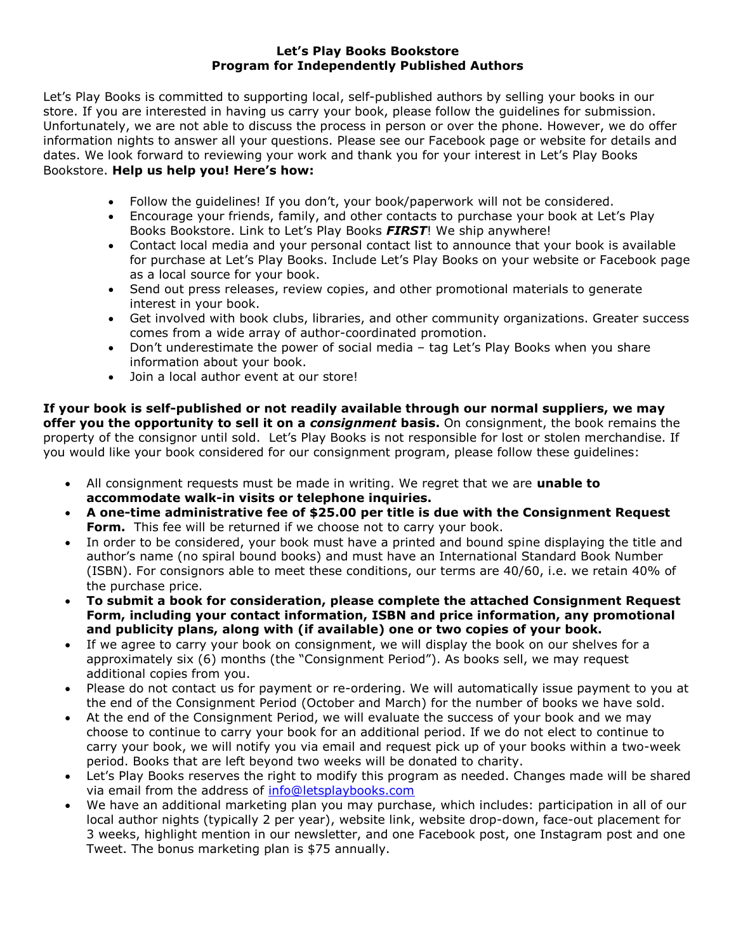## **Let's Play Books Bookstore Program for Independently Published Authors**

Let's Play Books is committed to supporting local, self-published authors by selling your books in our store. If you are interested in having us carry your book, please follow the guidelines for submission. Unfortunately, we are not able to discuss the process in person or over the phone. However, we do offer information nights to answer all your questions. Please see our Facebook page or website for details and dates. We look forward to reviewing your work and thank you for your interest in Let's Play Books Bookstore. **Help us help you! Here's how:** 

- Follow the guidelines! If you don't, your book/paperwork will not be considered.
- Encourage your friends, family, and other contacts to purchase your book at Let's Play Books Bookstore. Link to Let's Play Books *FIRST*! We ship anywhere!
- Contact local media and your personal contact list to announce that your book is available for purchase at Let's Play Books. Include Let's Play Books on your website or Facebook page as a local source for your book.
- Send out press releases, review copies, and other promotional materials to generate interest in your book.
- Get involved with book clubs, libraries, and other community organizations. Greater success comes from a wide array of author-coordinated promotion.
- Don't underestimate the power of social media tag Let's Play Books when you share information about your book.
- Join a local author event at our store!

**If your book is self-published or not readily available through our normal suppliers, we may offer you the opportunity to sell it on a** *consignment* **basis.** On consignment, the book remains the property of the consignor until sold. Let's Play Books is not responsible for lost or stolen merchandise. If you would like your book considered for our consignment program, please follow these guidelines:

- All consignment requests must be made in writing. We regret that we are **unable to accommodate walk-in visits or telephone inquiries.**
- **A one-time administrative fee of \$25.00 per title is due with the Consignment Request**  Form. This fee will be returned if we choose not to carry your book.
- In order to be considered, your book must have a printed and bound spine displaying the title and author's name (no spiral bound books) and must have an International Standard Book Number (ISBN). For consignors able to meet these conditions, our terms are 40/60, i.e. we retain 40% of the purchase price.
- **To submit a book for consideration, please complete the attached Consignment Request Form, including your contact information, ISBN and price information, any promotional and publicity plans, along with (if available) one or two copies of your book.**
- If we agree to carry your book on consignment, we will display the book on our shelves for a approximately six (6) months (the "Consignment Period"). As books sell, we may request additional copies from you.
- Please do not contact us for payment or re-ordering. We will automatically issue payment to you at the end of the Consignment Period (October and March) for the number of books we have sold.
- At the end of the Consignment Period, we will evaluate the success of your book and we may choose to continue to carry your book for an additional period. If we do not elect to continue to carry your book, we will notify you via email and request pick up of your books within a two-week period. Books that are left beyond two weeks will be donated to charity.
- Let's Play Books reserves the right to modify this program as needed. Changes made will be shared via email from the address of [info@letsplaybooks.com](mailto:info@letsplaybooks.com)
- We have an additional marketing plan you may purchase, which includes: participation in all of our local author nights (typically 2 per year), website link, website drop-down, face-out placement for 3 weeks, highlight mention in our newsletter, and one Facebook post, one Instagram post and one Tweet. The bonus marketing plan is \$75 annually.